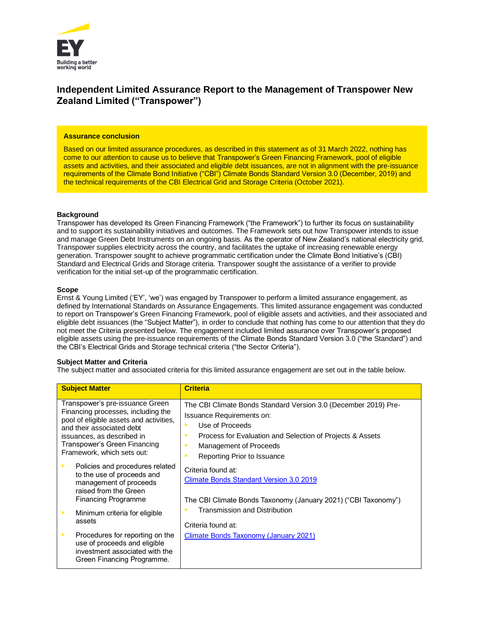

## **Independent Limited Assurance Report to the Management of Transpower New Zealand Limited ("Transpower")**

#### **Assurance conclusion**

Based on our limited assurance procedures, as described in this statement as of 31 March 2022, nothing has come to our attention to cause us to believe that Transpower's Green Financing Framework, pool of eligible assets and activities, and their associated and eligible debt issuances, are not in alignment with the pre-issuance requirements of the Climate Bond Initiative ("CBI") Climate Bonds Standard Version 3.0 (December, 2019) and the technical requirements of the CBI Electrical Grid and Storage Criteria (October 2021).

## **Background**

Transpower has developed its Green Financing Framework ("the Framework") to further its focus on sustainability and to support its sustainability initiatives and outcomes. The Framework sets out how Transpower intends to issue and manage Green Debt Instruments on an ongoing basis. As the operator of New Zealand's national electricity grid, Transpower supplies electricity across the country, and facilitates the uptake of increasing renewable energy generation. Transpower sought to achieve programmatic certification under the Climate Bond Initiative's (CBI) Standard and Electrical Grids and Storage criteria. Transpower sought the assistance of a verifier to provide verification for the initial set-up of the programmatic certification.

#### **Scope**

Ernst & Young Limited ('EY', 'we') was engaged by Transpower to perform a limited assurance engagement, as defined by International Standards on Assurance Engagements. This limited assurance engagement was conducted to report on Transpower's Green Financing Framework, pool of eligible assets and activities, and their associated and eligible debt issuances (the "Subject Matter"), in order to conclude that nothing has come to our attention that they do not meet the Criteria presented below. The engagement included limited assurance over Transpower's proposed eligible assets using the pre-issuance requirements of the Climate Bonds Standard Version 3.0 ("the Standard") and the CBI's Electrical Grids and Storage technical criteria ("the Sector Criteria").

## **Subject Matter and Criteria**

The subject matter and associated criteria for this limited assurance engagement are set out in the table below.

|   | <b>Subject Matter</b>                                                                                                                                                                                                                     | <b>Criteria</b>                                                                                                                                                                                                                            |
|---|-------------------------------------------------------------------------------------------------------------------------------------------------------------------------------------------------------------------------------------------|--------------------------------------------------------------------------------------------------------------------------------------------------------------------------------------------------------------------------------------------|
|   | Transpower's pre-issuance Green<br>Financing processes, including the<br>pool of eligible assets and activities,<br>and their associated debt<br>issuances, as described in<br>Transpower's Green Financing<br>Framework, which sets out: | The CBI Climate Bonds Standard Version 3.0 (December 2019) Pre-<br>Issuance Requirements on:<br>Use of Proceeds<br>ь<br>Process for Evaluation and Selection of Projects & Assets<br>Management of Proceeds<br>Reporting Prior to Issuance |
|   | Policies and procedures related<br>to the use of proceeds and<br>management of proceeds<br>raised from the Green<br><b>Financing Programme</b>                                                                                            | Criteria found at:<br>Climate Bonds Standard Version 3.0 2019<br>The CBI Climate Bonds Taxonomy (January 2021) ("CBI Taxonomy")                                                                                                            |
| ▶ | Minimum criteria for eligible<br>assets                                                                                                                                                                                                   | Transmission and Distribution<br>Criteria found at:                                                                                                                                                                                        |
|   | Procedures for reporting on the<br>use of proceeds and eligible<br>investment associated with the<br>Green Financing Programme.                                                                                                           | <b>Climate Bonds Taxonomy (January 2021)</b>                                                                                                                                                                                               |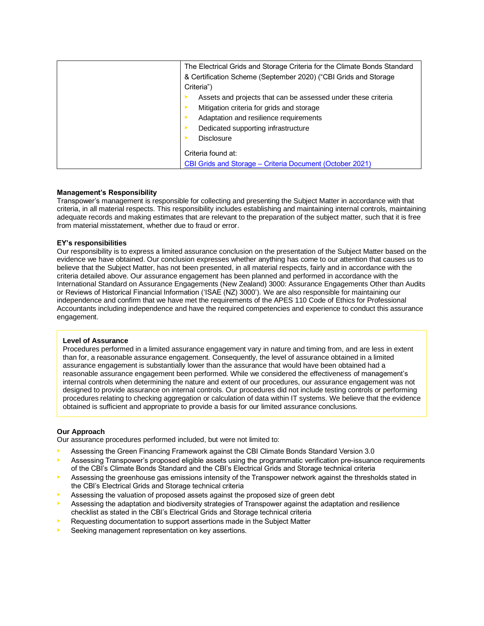| The Electrical Grids and Storage Criteria for the Climate Bonds Standard |
|--------------------------------------------------------------------------|
| & Certification Scheme (September 2020) ("CBI Grids and Storage          |
| Criteria")                                                               |
| Assets and projects that can be assessed under these criteria            |
| Mitigation criteria for grids and storage                                |
| Adaptation and resilience requirements                                   |
| Dedicated supporting infrastructure                                      |
| <b>Disclosure</b>                                                        |
| Criteria found at:                                                       |
| CBI Grids and Storage – Criteria Document (October 2021)                 |

## **Management's Responsibility**

Transpower's management is responsible for collecting and presenting the Subject Matter in accordance with that criteria, in all material respects. This responsibility includes establishing and maintaining internal controls, maintaining adequate records and making estimates that are relevant to the preparation of the subject matter, such that it is free from material misstatement, whether due to fraud or error.

#### **EY's responsibilities**

Our responsibility is to express a limited assurance conclusion on the presentation of the Subject Matter based on the evidence we have obtained. Our conclusion expresses whether anything has come to our attention that causes us to believe that the Subject Matter, has not been presented, in all material respects, fairly and in accordance with the criteria detailed above. Our assurance engagement has been planned and performed in accordance with the International Standard on Assurance Engagements (New Zealand) 3000: Assurance Engagements Other than Audits or Reviews of Historical Financial Information ('ISAE (NZ) 3000'). We are also responsible for maintaining our independence and confirm that we have met the requirements of the APES 110 Code of Ethics for Professional Accountants including independence and have the required competencies and experience to conduct this assurance engagement.

#### **Level of Assurance**

Procedures performed in a limited assurance engagement vary in nature and timing from, and are less in extent than for, a reasonable assurance engagement. Consequently, the level of assurance obtained in a limited assurance engagement is substantially lower than the assurance that would have been obtained had a reasonable assurance engagement been performed. While we considered the effectiveness of management's internal controls when determining the nature and extent of our procedures, our assurance engagement was not designed to provide assurance on internal controls. Our procedures did not include testing controls or performing procedures relating to checking aggregation or calculation of data within IT systems. We believe that the evidence obtained is sufficient and appropriate to provide a basis for our limited assurance conclusions.

## **Our Approach**

Our assurance procedures performed included, but were not limited to:

- Assessing the Green Financing Framework against the CBI Climate Bonds Standard Version 3.0
- Assessing Transpower's proposed eligible assets using the programmatic verification pre-issuance requirements of the CBI's Climate Bonds Standard and the CBI's Electrical Grids and Storage technical criteria
- Assessing the greenhouse gas emissions intensity of the Transpower network against the thresholds stated in the CBI's Electrical Grids and Storage technical criteria
- Assessing the valuation of proposed assets against the proposed size of green debt
- **•** Assessing the adaptation and biodiversity strategies of Transpower against the adaptation and resilience checklist as stated in the CBI's Electrical Grids and Storage technical criteria
- Requesting documentation to support assertions made in the Subject Matter
- Seeking management representation on key assertions.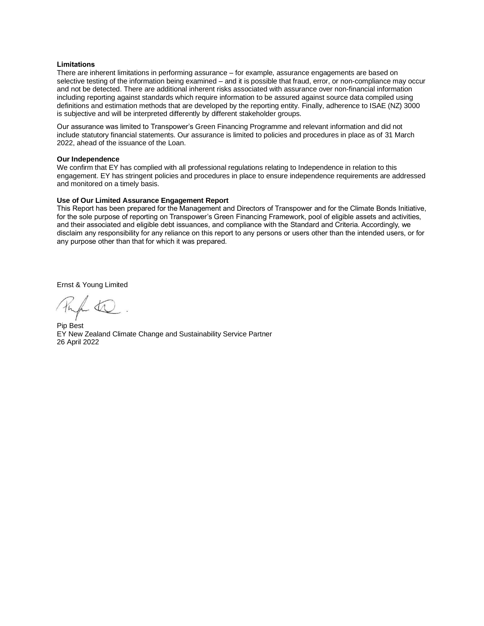#### **Limitations**

There are inherent limitations in performing assurance – for example, assurance engagements are based on selective testing of the information being examined – and it is possible that fraud, error, or non-compliance may occur and not be detected. There are additional inherent risks associated with assurance over non-financial information including reporting against standards which require information to be assured against source data compiled using definitions and estimation methods that are developed by the reporting entity. Finally, adherence to ISAE (NZ) 3000 is subjective and will be interpreted differently by different stakeholder groups.

Our assurance was limited to Transpower's Green Financing Programme and relevant information and did not include statutory financial statements. Our assurance is limited to policies and procedures in place as of 31 March 2022, ahead of the issuance of the Loan.

## **Our Independence**

We confirm that EY has complied with all professional regulations relating to Independence in relation to this engagement. EY has stringent policies and procedures in place to ensure independence requirements are addressed and monitored on a timely basis.

#### **Use of Our Limited Assurance Engagement Report**

This Report has been prepared for the Management and Directors of Transpower and for the Climate Bonds Initiative, for the sole purpose of reporting on Transpower's Green Financing Framework, pool of eligible assets and activities, and their associated and eligible debt issuances, and compliance with the Standard and Criteria. Accordingly, we disclaim any responsibility for any reliance on this report to any persons or users other than the intended users, or for any purpose other than that for which it was prepared.

Ernst & Young Limited

Pip Best EY New Zealand Climate Change and Sustainability Service Partner 26 April 2022